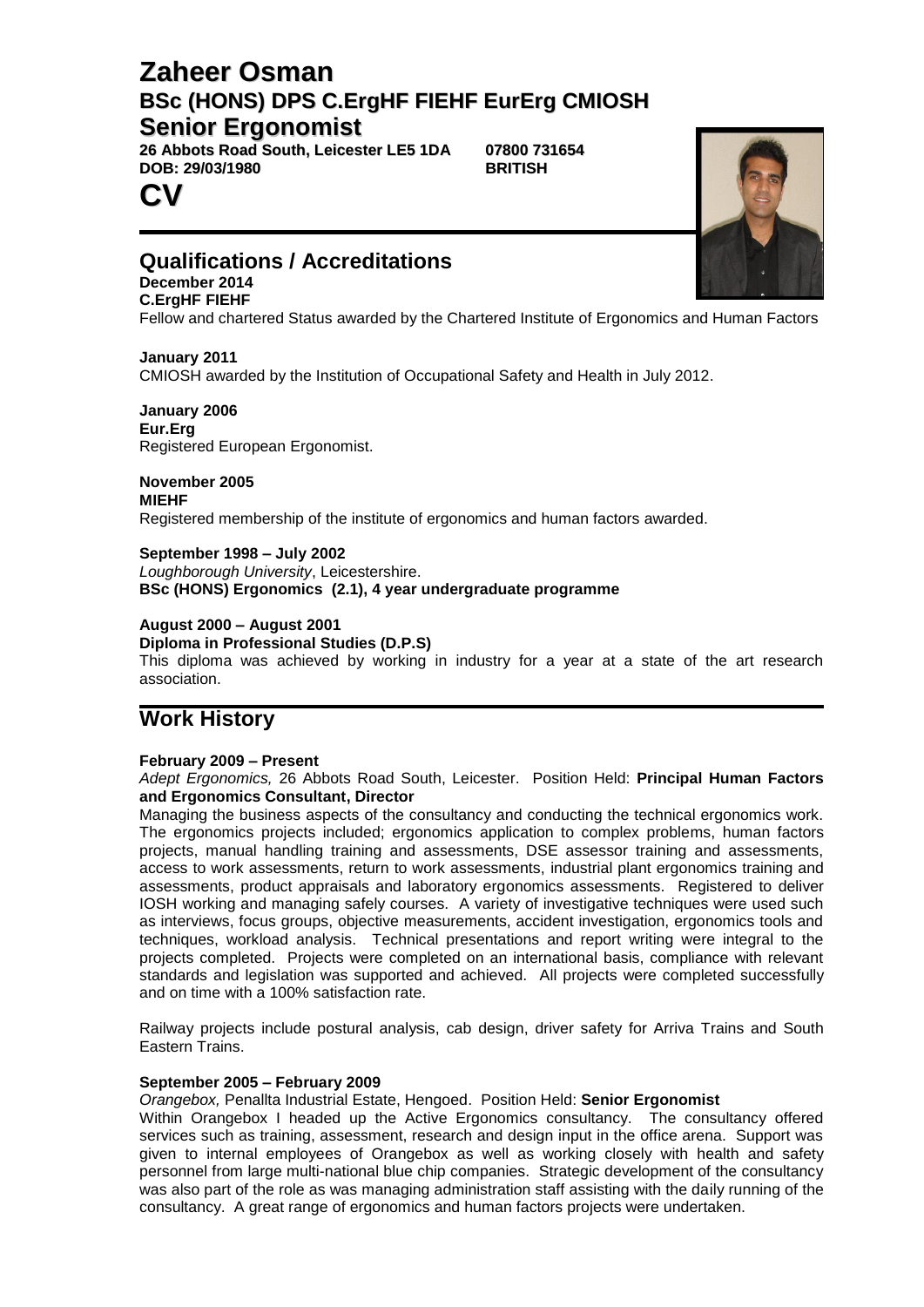# **Zaheer Osman BSc (HONS) DPS C.ErgHF FIEHF EurErg CMIOSH Senior Ergonomist**

**26 Abbots Road South, Leicester LE5 1DA 07800 731654**  $DOB: 29/03/1980$ 

## **Qualifications / Accreditations**

#### **December 2014 C.ErgHF FIEHF**

**CV**

Fellow and chartered Status awarded by the Chartered Institute of Ergonomics and Human Factors

**January 2011** CMIOSH awarded by the Institution of Occupational Safety and Health in July 2012.

**January 2006 Eur.Erg** Registered European Ergonomist.

**November 2005 MIEHF** Registered membership of the institute of ergonomics and human factors awarded.

**September 1998 – July 2002** *Loughborough University*, Leicestershire. **BSc (HONS) Ergonomics (2.1), 4 year undergraduate programme**

## **August 2000 – August 2001**

**Diploma in Professional Studies (D.P.S)**

This diploma was achieved by working in industry for a year at a state of the art research association.

## **Work History**

### **February 2009 – Present**

*Adept Ergonomics,* 26 Abbots Road South, Leicester. Position Held: **Principal Human Factors and Ergonomics Consultant, Director**

Managing the business aspects of the consultancy and conducting the technical ergonomics work. The ergonomics projects included; ergonomics application to complex problems, human factors projects, manual handling training and assessments, DSE assessor training and assessments, access to work assessments, return to work assessments, industrial plant ergonomics training and assessments, product appraisals and laboratory ergonomics assessments. Registered to deliver IOSH working and managing safely courses. A variety of investigative techniques were used such as interviews, focus groups, objective measurements, accident investigation, ergonomics tools and techniques, workload analysis. Technical presentations and report writing were integral to the projects completed. Projects were completed on an international basis, compliance with relevant standards and legislation was supported and achieved. All projects were completed successfully and on time with a 100% satisfaction rate.

Railway projects include postural analysis, cab design, driver safety for Arriva Trains and South Eastern Trains.

#### **September 2005 – February 2009**

*Orangebox,* Penallta Industrial Estate, Hengoed. Position Held: **Senior Ergonomist**

Within Orangebox I headed up the Active Ergonomics consultancy. The consultancy offered services such as training, assessment, research and design input in the office arena. Support was given to internal employees of Orangebox as well as working closely with health and safety personnel from large multi-national blue chip companies. Strategic development of the consultancy was also part of the role as was managing administration staff assisting with the daily running of the consultancy. A great range of ergonomics and human factors projects were undertaken.